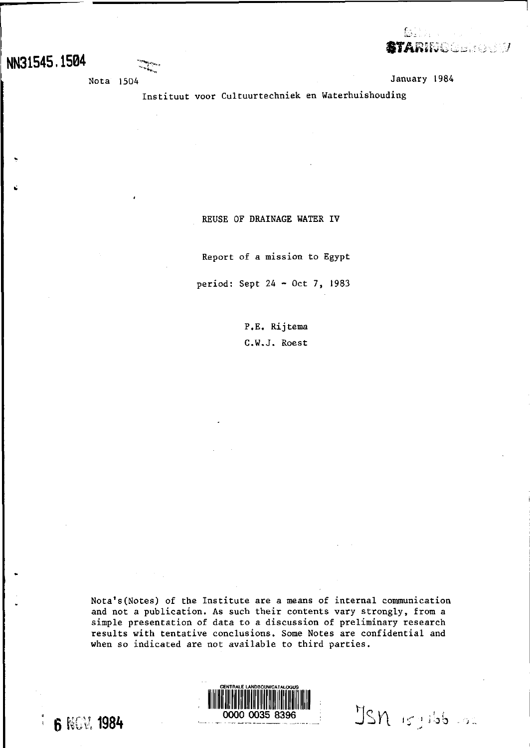# **NN31545.1504 ^**

Nota 1504 January 1984

ka ka

ataring elikuwa

Instituut voor Cultuurtechniek en Waterhuishouding

REUSE OF DRAINAGE WATER IV

Report of a mission to Egypt

period: Sept 24 - Oct 7, 1983

P.E. Rijtema C.W.J. Roest

Nota's(Notes) of the Institute are a means of internal communication and not a publication. As such their contents vary strongly, from a simple presentation of data to a discussion of preliminary research results with tentative conclusions. Some Notes are confidential and when so indicated are not available to third parties.

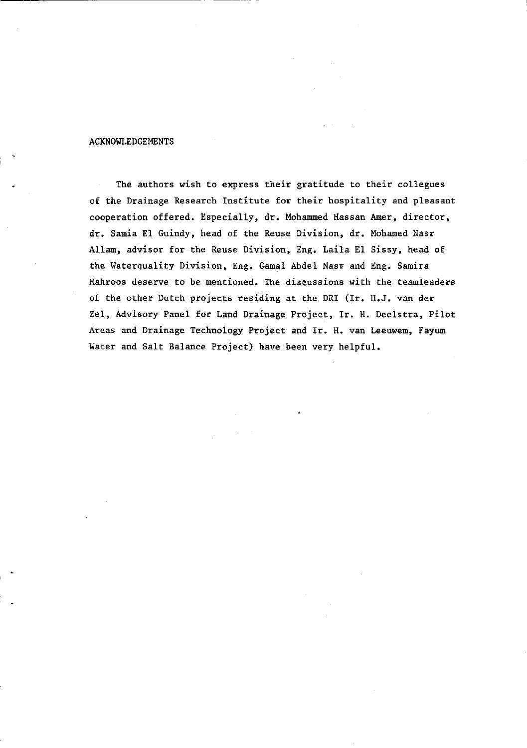#### ACKNOWLEDGEMENTS

The authors wish to express their gratitude to their collegues of the Drainage Research Institute for their hospitality and pleasant cooperation offered. Especially, dr. Mohammed Hassan Amer, director, dr. Samia El Guindy, head of the Reuse Division, dr. Mohamed Nasr Allam, advisor for the Reuse Division, Eng. Laila El Sissy, head of the Waterquality Division, Eng. Gamal Abdel Nasr and Eng. Samira Mahroos deserve to be mentioned. The diseussions with the teamleaders of the other Dutch projects residing at the DRI (Ir. H.J. van der Zei, Advisory Panel for Land Drainage Project, Ir. H. Deelstra, Pilot Areas and Drainage Technology Project and Ir. H. van Leeuwem, Fayum Water and Salt Balance Project) have been very helpful.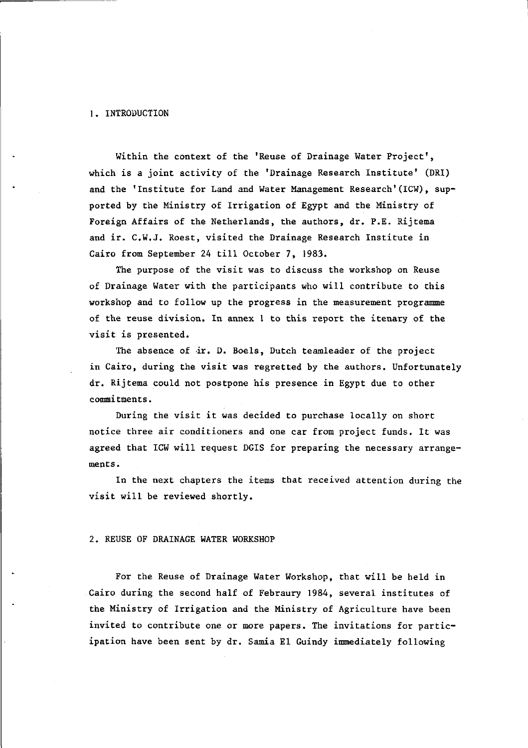# 1. INTRODUCTION

Within the context of the 'Reuse of Drainage Water Project', which is a joint activity of the 'Drainage Research Institute' (DRI) and the 'Institute for Land and Water Management Research'(ICW), supported by the Ministry of Irrigation of Egypt and the Ministry of Foreign Affairs of the Netherlands, the authors, dr. P.E. Rijtema and ir. C.W.J. Roest, visited the Drainage Research Institute in Cairo from September 24 till October 7, 1983.

The purpose of the visit was to discuss the workshop on Reuse of Drainage Water with the participants who will contribute to this workshop and to follow up the progress in the measurement programme of the reuse division. In annex 1 to this report the itenary of the visit is presented.

The absence of ir. D. Boels, Dutch teamleader of the project in Cairo, during the visit was regretted by the authors. Unfortunately dr. Rijtema could not postpone his presence in Egypt due to other commitments.

During the visit it was decided to purchase locally on short notice three air conditioners and one car from project funds. It was agreed that ICW will request DGIS for preparing the necessary arrangements .

In the next chapters the items that received attention during the visit will be reviewed shortly.

# 2. REUSE OF DRAINAGE WATER WORKSHOP

For the Reuse of Drainage Water Workshop, that will be held in Cairo during the second half of Febraury 1984, several institutes of the Ministry of Irrigation and the Ministry of Agriculture have been invited to contribute one or more papers. The invitations for participation have been sent by dr. Samia El Guindy immediately following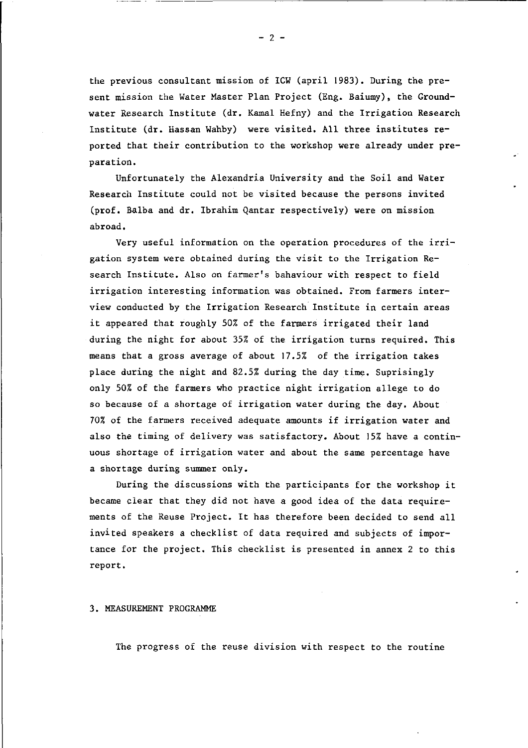the previous consultant mission of ICW (april 1983). During the present mission the Water Master Plan Project (Eng. Baiumy), the Groundwater Research Institute (dr. Kamal Hefny) and the Irrigation Research Institute (dr. Hassan Wahby) were visited. All three institutes reported that their contribution to the workshop were already under preparation.

Unfortunately the Alexandria University and the Soil and Water Research Institute could not be visited because the persons invited (prof. Balba and dr. Ibrahim Qantar respectively) were on mission abroad.

Very useful information on the operation procedures of the irrigation system were obtained during the visit to the Irrigation Research Institute. Also on farmer's bahaviour with respect to field irrigation interesting information was obtained. From farmers interview conducted by the Irrigation Research Institute in certain areas it appeared that roughly 50% of the farmers irrigated their land during the night for about 35% of the irrigation turns required. This means that a gross average of about 17.5% of the irrigation takes place during the night and 82.5% during the day time. Suprisingly only 50% of the farmers who practice night irrigation allege to do so because of a shortage of irrigation water during the day. About 70% of the farmers received adequate amounts if irrigation water and also the timing of delivery was satisfactory. About 15% have a continuous shortage of irrigation water and about the same percentage have a shortage during summer only.

During the discussions with the participants for the workshop it became clear that they did not have a good idea of the data requirements of the Reuse Project. It has therefore been decided to send all invited speakers a checklist of data required and subjects of importance for the project. This checklist is presented in annex 2 to this report.

# 3. MEASUREMENT PROGRAMME

The progress of the reuse division with respect to the routine

 $- 2 -$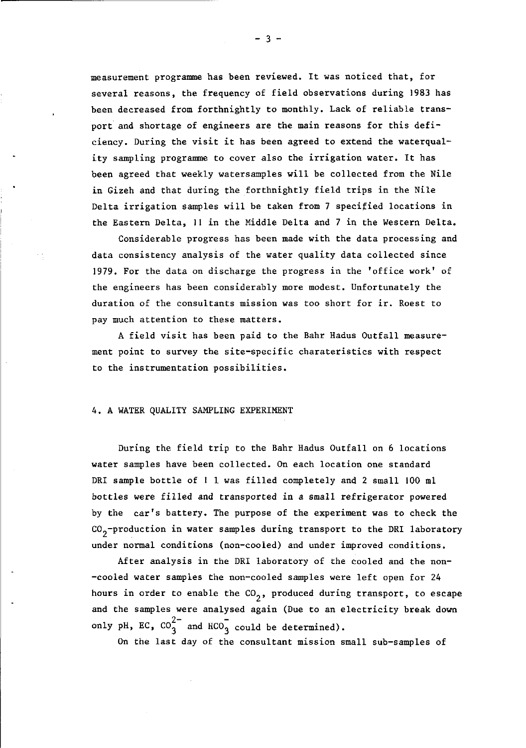measurement programme has been reviewed. It was noticed that, for several reasons, the frequency of field observations during 1983 has been decreased from forthnightly to monthly. Lack of reliable transport and shortage of engineers are the main reasons for this deficiency. During the visit it has been agreed to extend the waterquality sampling programme to cover also the irrigation water. It has been agreed that weekly watersamples will be collected from the Nile in Gizeh and that during the forthnightly field trips in the Nile Delta irrigation samples will be taken from 7 specified locations in the Eastern Delta, 11 in the Middle Delta and 7 in the Western Delta.

Considerable progress has been made with the data processing and data consistency analysis of the water quality data collected since 1979. For the data on discharge the progress in the 'office work' of the engineers has been considerably more modest. Unfortunately the duration of the consultants mission was too short for ir. Roest to pay much attention to these matters.

A field visit has been paid to the Bahr Hadus Outfall measurement point to survey the site-specific charateristics with respect to the instrumentation possibilities.

# 4. A WATER QUALITY SAMPLING EXPERIMENT

During the field trip to the Bahr Hadus Outfall on 6 locations water samples have been collected. On each location one standard DRI sample bottle of 1 1 was filled completely and 2 small 100 ml bottles were filled and transported in a small refrigerator powered by the car's battery. The purpose of the experiment was to check the  $CO<sub>2</sub>$ -production in water samples during transport to the DRI laboratory under normal conditions (non-cooled) and under improved conditions.

After analysis in the DRI laboratory of the cooled and the non- -cooled water samples the non-cooled samples were left open for 24 hours in order to enable the  $CO_2$ , produced during transport, to escape and the samples were analysed again (Due to an electricity break down only pH, EC,  $\overline{CO_3^2}^-$  and HCO<sub>3</sub> could be dete

On the last day of the consultant mission small sub-samples of

 $- 3 -$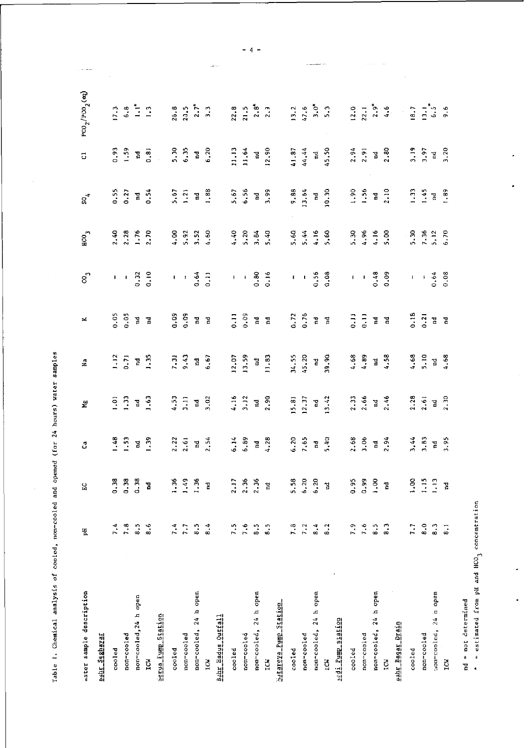Table 1. Chemical analysis of cooled, non-cooled and opened (for 24 hours) water samples

 $\tau$  ,  $\tau$ 

 $\frac{1}{2}$ 

| water sample description                | FЦ                       | $\mathbf{S}$   | යි                       | 웊                       | N.a          | ×                       | $\mathbf{e}^{\bullet}$ | нсо <sub>з</sub> | $^{50}$              | $\overline{c}$ | $PCO_2/PCO_2$ (eq)                         |  |
|-----------------------------------------|--------------------------|----------------|--------------------------|-------------------------|--------------|-------------------------|------------------------|------------------|----------------------|----------------|--------------------------------------------|--|
| <b>Pahr_Seghayar</b>                    |                          |                |                          |                         |              |                         |                        |                  |                      |                |                                            |  |
| cooled                                  | 7.4                      | 0.38           | $-48$                    | $\overline{5}$          | 1.12         | 0.05                    | I.                     | 2.40             | 0.55                 | 0.93           | 17.3                                       |  |
| non-cooled                              | 7.8                      | 0.38           | $\frac{53}{2}$           | $\ddot{c}$              | 0.71         | 0.05                    | $\blacksquare$         | 2.28             | 0.27                 | 1.59           | $6\,$ .8                                   |  |
| non-cooled, 24 h open                   | 8.5                      | 0.38           | ă                        | $\overline{\mathbf{a}}$ | 궘            | Ĕ                       | 0.32                   | 1.76             | 뎥                    | 검              | $\mathbf{I}$                               |  |
| ICW                                     | $\ddot{\phantom{a}}$     | មួ             | 1.39                     | 1,63                    | 1.35         | ď                       | 0.10                   | 2.70             | 0.54                 | 0.81           | 1.3                                        |  |
| <b>Serua</b> Fump Station               |                          |                |                          |                         |              |                         |                        |                  |                      |                |                                            |  |
| cooled                                  | 7.4                      | 1.36           | 2.22                     | 4.53                    | 7.31         | $0.09\,$                | $\mathbf I$            | 80.7             | 5.67                 | 5.30           | 26.8                                       |  |
| non-cooled                              | 2.                       | 1.49           | 2.61                     | $\frac{1}{2}$           | 9.43         | 0.09                    | $\,$ t                 | 5.92             | 1.21                 | 6.35           | 20.5                                       |  |
| $24 h$ open<br>non-cooled,              | 8.5                      | 1.36           | $\mathbf{\tilde{g}}$     | É                       | $\mathbf{a}$ | đ                       | 0.64                   | 3.52             | 김                    | é              | $2.7$ <sup>*</sup>                         |  |
| IGN                                     | $\frac{4}{3}$            | 겉              | 2,54                     | 3.02                    | 6.67         | 固                       | 0.11                   | 4.60             | 1.88                 | 6.20           | 3.3                                        |  |
| Bahr Hadus Outfall                      |                          |                |                          |                         |              |                         |                        |                  |                      |                |                                            |  |
| cooled                                  | 7.5                      | 2.17           | $\ddot{0}$ . $\ddot{14}$ | 4.16                    | 12,07        | $\frac{1}{2}$           | ¥.                     | 4.40             | 5.67                 | 11.13          | 22.8                                       |  |
| non-cooled                              | 7.6                      | 2.36           | 6.89                     | 3.12                    | 13.59        | 0.09                    | $\blacksquare$         | 5.20             | 6.56                 | 11.64          | 21.5                                       |  |
| non-cooled, 24 h open                   | ິ.<br>ຜ                  | 2.36           | $\mathbf{r}$             | $\mathbf{a}$            | F            | E                       | 0.80                   | 3.84             | é                    | é              | $2.8^*$                                    |  |
| ICM                                     | <br>თ                    | é              | 4,28                     | 2.90                    | 11.83        | 궘                       | 0.16                   | 54.0             | 3.99                 | 12,90          | 2.3                                        |  |
| Marareya Pump Station                   |                          |                |                          |                         |              |                         |                        |                  |                      |                |                                            |  |
| cooled                                  | 7.8                      | 5.58           | 6.20                     | 15.81                   | 34.55        | 0.72                    | ť                      | 5.60             | 9,88                 | 41.87          | 13.2                                       |  |
| non-cooled                              | 7.2                      | 6.20           | 7.65                     | 12.37                   | 45.20        | 0.76                    |                        | 5.44             | 13.64                | 44.44          | 47.6                                       |  |
| 24 h open<br>non-cooled,                | 6.4                      | 6.20           | $\vec{B}$                | 겹                       | 짙            | 졉                       | $\frac{1}{0.56}$       | 4.16             | d                    | $\mathbf{r}$   | $3 \cdot 0^*$                              |  |
| ICK                                     | $\frac{2}{3}$            | F              | 5.40                     | 13.42                   | 39.90        | $\overline{a}$          | 0.08                   | 5.60             | 10.30                | 45.50          | $\frac{3}{2}$                              |  |
| agi Pum station                         |                          |                |                          |                         |              |                         |                        |                  |                      |                |                                            |  |
| cooled                                  | 7.9                      | 0.95           | 2.68                     | 2.33                    | 4.68         | $\overline{1}$          | $\pmb{\mathsf{I}}$     | 5.30             | 1.90                 | 2.94           | 12.0                                       |  |
| non-cooled                              | 7.6                      | 0.99           | 3.06                     | 2,66                    | 4.89         | $\frac{1}{2}$           |                        | 4.96             | 1.56                 | 2.91           | 22.1                                       |  |
| h open<br>$\frac{24}{3}$<br>non-cooled, | $\frac{5}{2}$            | 3.00           | $\mathbf{r}$             | $\mathbf{a}$            | P,           | 7                       | $-6.48$                | 4.16             | $\mathbf{\tilde{g}}$ | <b>P</b>       | 2.9                                        |  |
| ICN                                     | ္ပံ                      | g              | 2.94                     | 2.46                    | 4.58         | 궘                       | 0.09                   | 5.00             | 2.10                 | 2.80           | 4.6                                        |  |
| pahr Bagar Drain                        |                          |                |                          |                         |              |                         |                        |                  |                      |                |                                            |  |
| cooled                                  | 7.7                      | 00.1           | 3.44                     | 2.28                    | 4.68         | 0.18                    | $\mathbf I$            | 5.30             | $\frac{3}{2}$        | 3.19           | 18.7                                       |  |
| non-cooled                              | 8.0                      | $\frac{15}{2}$ | 3.83                     | 2.61                    | 5.10         | 0.21                    | ł,                     | 7.36             | 1.45                 | 3.97           | $\begin{array}{c}\n13.7 \\ 6\n\end{array}$ |  |
| non-cooled, 24 n open                   | <u>ვ.</u>                | $\frac{1}{2}$  | 뎥                        | $\overline{\mathbf{c}}$ | 겉            | <b>P</b>                | 0.64                   | 5.12             | $\mathbf{\tilde{z}}$ | $\vec{E}$      |                                            |  |
| <b>TCM</b>                              | $\overline{\phantom{0}}$ | ě              | 3.95                     | 2.30                    | 4.68         | $\overline{\mathbf{c}}$ | 0.08                   | 6.70             | 1.89                 | 3.20           | 9.6                                        |  |

nd = not determined<br>
\* = estimated from pH and HCO<sub>3</sub> concentration

 $\ddot{\phantom{0}}$ 

 $\ddot{\phantom{0}}$ 

 $-4-$ 

 $\frac{1}{2\pi\sigma}$  ,  $\frac{1}{2\pi\sigma}$  ,

 $\hat{z}$  ,  $\hat{z}$  ,  $\hat{z}$  ,  $\hat{z}$  ,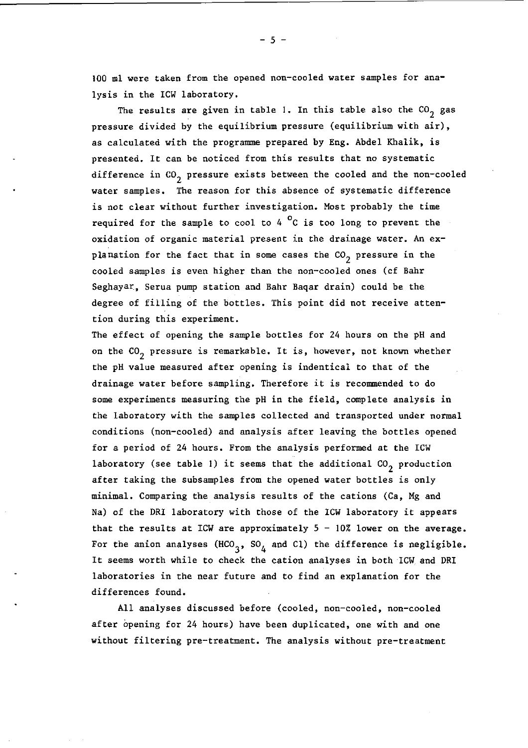100 ml were taken from the opened non-cooled water samples for analysis in the ICW laboratory.

The results are given in table 1. In this table also the  $CO_2$  gas pressure divided by the equilibrium pressure (equilibrium with air), as calculated with the programme prepared by Eng. Abdel Khalik, is presented. It can be noticed from this results that no systematic difference in  $CO_{\gamma}$  pressure exists between the cooled and the non-cooled water samples. The reason for this absence of systematic difference is not clear without further investigation. Most probably the time required for the sample to cool to  $4<sup>o</sup>C$  is too long to prevent the oxidation of organic material present in the drainage water. An explanation for the fact that in some cases the  $CO<sub>2</sub>$  pressure in the cooled samples is even higher than the non-cooled ones (cf Bahr Seghayar, Serua pump station and Bahr Baqar drain) could be the degree of filling of the bottles. This point did not receive attention during this experiment.

The effect of opening the sample bottles for 24 hours on the pH and on the  $CO<sub>2</sub>$  pressure is remarkable. It is, however, not known whether the pH value measured after opening is indentical to that of the drainage water before sampling. Therefore it is recommended to do some experiments measuring the pH in the field, complete analysis in the laboratory with the samples collected and transported under normal conditions (non-cooled) and analysis after leaving the bottles opened for a period of 24 hours. From the analysis performed at the ICW laboratory (see table 1) it seems that the additional  $CO_2$  production after taking the subsamples from the opened water bottles is only minimal. Comparing the analysis results of the cations (Ca, Mg and Na) of the DRI laboratory with those of the ICW laboratory it appears that the results at ICW are approximately  $5 - 10\%$  lower on the average. For the anion analyses (HCO<sub>3</sub>, SO<sub>4</sub> and Cl) the difference is negligible. It seems worth while to check the cation analyses in both ICW and DRI laboratories in the near future and to find an explanation for the differences found.

All analyses discussed before (cooled, non-cooled, non-cooled after opening for 24 hours) have been duplicated, one with and one without filtering pre-treatment. The analysis without pre-treatment

- 5 -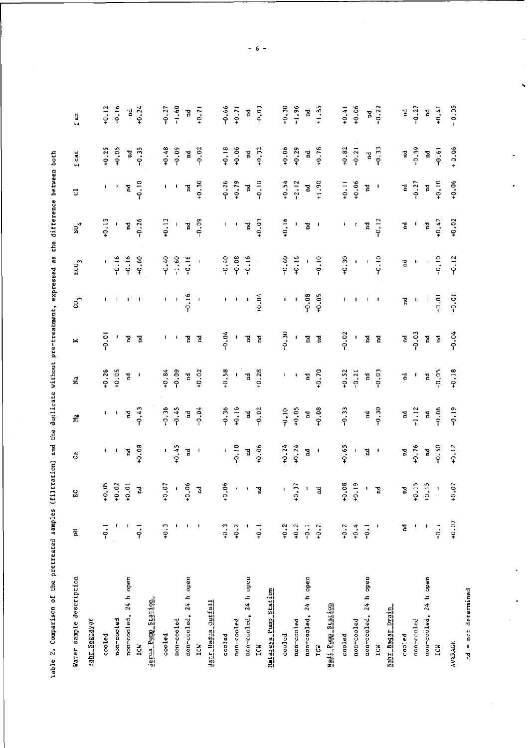| SS<br>S<br>ı<br>Í                             |
|-----------------------------------------------|
| i<br>$\frac{1}{2}$<br>:<br>;<br>;<br>i        |
| as the a.                                     |
|                                               |
| <b>VRYODED</b><br>j<br>D<br>D<br>D<br>D       |
| í<br>* pre-treatm.                            |
| ;<br>;<br>;<br>l                              |
| ミリー・コート<br>$\overline{\phantom{a}}$<br>ì<br>l |
| čhe<br>C                                      |
| Į<br>i                                        |
| tiam<br>į<br>ı<br>ì<br>j<br>ı                 |
| es<br>2914<br>1<br>G<br>ı                     |
| i<br>ú<br>i<br>I                              |
|                                               |
| ı<br>I<br>١<br>١<br>ׇ֚֘֡                      |
| l<br>f<br>ı<br>ı<br>a<br>J<br>k               |

| Water sample description | ቼ             | ន្ល                           | Ĉ.                      | $\Sigma^0$     | $\vec{\mathbf{z}}$       | ×              | ຮິ                        | нс $\mathbf{o}_3$  | $S_{\mathbf{Q}}$         | $\overline{\text{c}}$ | $\sum_{i=1}^{n}$ Cat    | $\sum$ an |
|--------------------------|---------------|-------------------------------|-------------------------|----------------|--------------------------|----------------|---------------------------|--------------------|--------------------------|-----------------------|-------------------------|-----------|
| Mahr_Seghayar            |               |                               |                         |                |                          |                |                           |                    |                          |                       |                         |           |
| cooled                   | $\frac{1}{2}$ | $+0.05$                       | ٠                       | ŧ              | $+0.26$                  | o.<br>م        | ٠                         | I.                 | $+0.13$                  |                       | $+0.25$                 | $+0.12$   |
| non-cooled               | ı             | $+0.02$                       | $\mathbf{I}$            | 1              | $+0.05$                  | ,              | $\mathbf{I}$              | $-0.16$            | $\mathbf{I}$             |                       | $+0.05$                 | $-0.16$   |
| non-cooled, 24 h open    | ł             | $+0.01$                       | 검                       | 겉              | $\mathbf{\tilde{g}}$     | 궏              | $\mathbf{I}$              | $-0.16$            | é                        | <b>P</b>              | ď                       | 2         |
| LCM                      | ှုံ           | $\mathbf{B}$                  | $+0.08$                 | $-0.43$        | $\overline{\phantom{a}}$ | 검              | $\mathbf{I}$              | $+0.60$            | $-0.26$                  | $-0.10$               | $-0.35$                 | $+0.24$   |
| Serua Pump Station       |               |                               |                         |                |                          |                |                           |                    |                          |                       |                         |           |
| cooled                   | $+0.3$        | ć.<br>¥                       | ŧ.                      | $-0.36$        | $+0.84$                  | L              | ŧ.                        | $-0.40$            | $+0.13$                  | τ.                    | $+0.48$                 | $-0.27$   |
| non-cooled               | п             | $\pmb{\ast}$                  | $-0.45$                 | $-0.45$        | $-0.09$                  | $\mathbf{I}$   | $\mathbf{I}$              | $-1.60$            | J.                       | $\mathbf{I}$          | $-0.09$                 | $-1.60$   |
| non-cooled, 24 h open    | $\mathbf{I}$  | .06<br>¥                      | 겉                       | F              | $\overline{\mathbf{r}}$  | 겯              | $-0.16$                   | $-0.16$            | é                        | $\mathbf{\tilde{z}}$  | $\overline{\mathbf{a}}$ | E         |
| ICK                      | $\mathbf{I}$  | é                             | J,                      | $-0.04$        | $+0.02$                  | 겉              | ı                         | ı                  | $-0.09$                  | $+0.30$               | $-0.02$                 | $+0.21$   |
| Bahr_Hadus_Qutfall       |               |                               |                         |                |                          |                |                           |                    |                          |                       |                         |           |
| cooled                   | $+0.3$        | .06<br>Ŧ                      | ł.                      | $-0.36$        | $+0.58$                  | $-0.04$        | ١.                        | $-0.40$            | Τ,                       | $-0.26$               | $+0.18$                 | $-0.66$   |
| non-cooled               | $+0.2$        | $\mathbf{L}_{\mathbf{r}}$     | $-0.10$                 | $+0.16$        | $\mathbf{I}$             | J.             | $\mathbf{L}_{\mathrm{c}}$ | $-0.08$            | $\mathbf{I}$             | $+0.79$               | $+0.06$                 | $-10.71$  |
| non-cooled, 24 h open    |               | ١                             | đ                       | 곁              | $\mathbf{a}$             | 검              | J.                        | $-0.16$            | ិ៍                       | 겯                     | 검                       | Ĕ         |
| ICH                      | $-1$          | 궡                             | $+0.06$                 | $-0.02$        | $+0.28$                  | 검              | $+0.04$                   | $\pmb{\mathsf{I}}$ | $+0.03$                  | $\frac{1}{2}$         | $+0.32$                 | $-0.03$   |
| Metazar Rum Tayaman      |               |                               |                         |                |                          |                |                           |                    |                          |                       |                         |           |
| cooled                   | $+0.2$        | $\mathbf I$                   | 10.24                   | $-0.10$        | $\mathbf{I}$             | $-0.30$        | $\mathbf{E}^{(1)}$        | $-0.40$            | $+0.16$                  | $+0.54$               | $+0.06$                 | $-0.30$   |
| non-cooled               | $+0.2$        | $\ddot{\cdot}$<br>Ŧ           | $+0.24$                 | $+0.05$        | J.                       | Ţ              | $\mathbf{I}$              | $+0.16$            | J.                       | $-2.12$               | $+0.29$                 | $-1.96$   |
| non-cooled, 24 h open    | $-0.1$        | $\pmb{\mathsf{1}}$            | $\overline{a}$          | $\overline{a}$ | $\overline{\mathbf{a}}$  | 검              | 0.08                      |                    | ě                        | $\Xi$                 | đ                       | 겯         |
| ICK                      | $+0.2$        | F                             | $\mathbf{I}$            | $+0.08$        | $+0.70$                  | ]              | $-0.05$                   | $-0.10$            | $\overline{\phantom{a}}$ | $+1.90$               | $+0.78$                 | $+1.85$   |
| Wadi Pump Station        |               |                               |                         |                |                          |                |                           |                    |                          |                       |                         |           |
| cooled                   | $+0.2$        | .08<br>P,                     | $+0.65$                 | $-0.33$        | $+0.52$                  | $-0.02$        | L                         | $+0.30$            | ŧ                        | $+0.11$               | $+0.82$                 | $+0.41$   |
| non-cooled               | $+0.4$        | $\frac{19}{19}$<br>¥          | $\mathbf I$             |                | $-0.21$                  |                |                           | 1                  | ŧ,                       | $+0.06$               | $-0.21$                 | $+0.06$   |
| non-cooled, 24 h open    | $-2.1$        | ١                             | 궘                       | 겉              | Ē                        | 검              |                           | T                  | $\mathbf{r}$             | F                     | ă                       | Ĕ         |
| ICM                      | ŧ             | 궡                             | $\mathbf{I}$            | $-0.30$        | $-0.03$                  | É              | J,                        | $-0.10$            | $-0.12$                  | $\mathbf{I}$          | $-0.33$                 | $-0.22$   |
| <u>Bahr Bagar Drain</u>  |               |                               |                         |                |                          |                |                           |                    |                          |                       |                         |           |
| cooled                   | 걸             | Σ                             | 记                       | 곁              | 검                        | č              | F                         | $\vec{a}$          | $\overline{\mathbf{a}}$  | ٦,                    | ě                       | 곁         |
| non-cooled               | $\pmb{\cdot}$ | $\frac{15}{1}$<br>¥           | $+0.76$                 | $-1.12$        | $\mathbf{I}$             | $-0.03$        | $\mathbf{I}$              | $\pmb{\mathsf{I}}$ | J.                       | $-0.27$               | $-0.39$                 | $-0.27$   |
| non-cooled, 24 h open    | I             | $\frac{15}{15}$<br>Ŧ          | $\overline{\mathbf{c}}$ | 뎥              | $\rm \tilde{E}$          | 겯              |                           | Т                  | 걸                        | ă                     | ď                       | č         |
| ICN                      | $\frac{1}{2}$ | $\blacksquare$                | $-0.50$                 | 0.06           | $-0.05$                  | $\overline{a}$ | $-0.01$                   | $-0.10$            | $+0.42$                  | $+0.10$               | $-0.61$                 | $+0.41$   |
| <b>AVERACE</b>           | $+0.07$       | $\ddot{\circ}$<br>$\breve{+}$ | $+0.12$                 | $-0.19$        | $+0.18$                  | $-0.04$        | $-0.01$                   | $-0.12$            | $+0.02$                  | $+0.06$               | $+3.06$                 | $-0.05$   |
| $nd = not determined$    |               |                               |                         |                |                          |                |                           |                    |                          |                       |                         |           |

**- 6** 

۰,

 $\ddot{\phantom{0}}$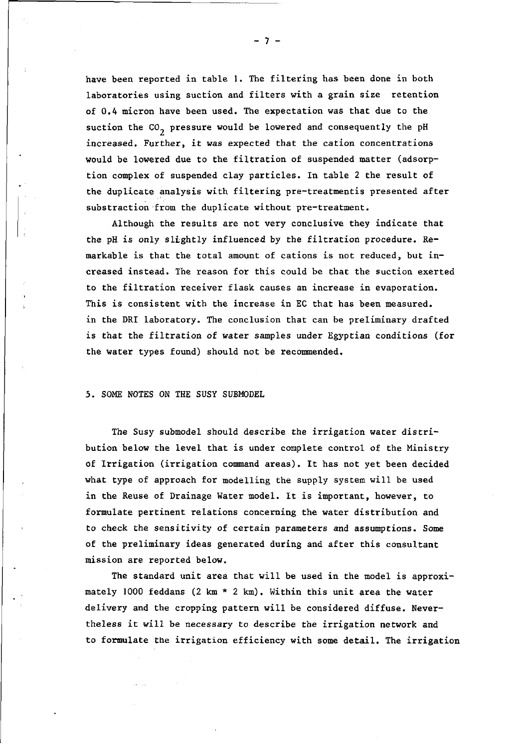have been reported in table 1. The filtering has been done in both laboratories using suction and filters with a grain size retention of 0.4 micron have been used. The expectation was that due to the suction the  $CO<sub>2</sub>$  pressure would be lowered and consequently the pH increased. Further, it was expected that the cation concentrations would be lowered due to the filtration of suspended matter (adsorption complex of suspended clay particles. In table 2 the result of the duplicate analysis with filtering pre-treatmentis presented after substraction from the duplicate without pre-treatment.

Although the results are not very conclusive they indicate that the pH is only slightly influenced by the filtration procedure. Remarkable is that the total amount of cations is not reduced, but increased instead. The reason for this could be that the suction exerted to the filtration receiver flask causes an increase in evaporation. This is consistent with the increase in EC that has been measured, in the DRI laboratory. The conclusion that can be preliminary drafted is that the filtration of water samples under Egyptian conditions (for the water types found) should not be recommended.

5. SOME NOTES ON THE SUSY SUBMODEL

The Susy submodel should describe the irrigation water distribution below the level that is under complete control of the Ministry of Irrigation (irrigation command areas). It has not yet been decided what type of approach for modelling the supply system will be used in the Reuse of Drainage Water model. It is important, however, to formulate pertinent relations concerning the water distribution and to check the sensitivity of certain parameters and assumptions. Some of the preliminary ideas generated during and after this consultant mission are reported below.

The standard unit area that will be used in the model is approximately 1000 feddans (2 km \* 2 km). Within this unit area the water delivery and the cropping pattern will be considered diffuse. Nevertheless it will be necessary to describe the irrigation network and to formulate the irrigation efficiency with some detail. The irrigation

- 7 -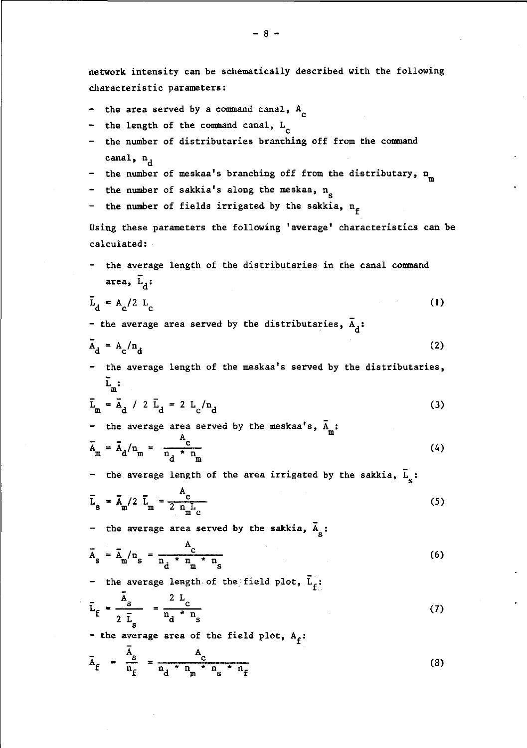network intensity can be schematically described with the following characteristic parameters:

- the area served by a command canal,  $A_{\alpha}$
- the length of the command canal,  $L_{\rho}$
- the number of distributaries branching off from the command canal, n,
- the number of meskaa's branching off from the distributary,  $n_m$
- the number of sakkia's along the meskaa,  $n_{\rm g}$
- S the number of fields fiftgated by the sa

Using these parameters the following 'average' characteristics can be calculated:

- the average length of the distributaries in the canal command area,  $\bar{L}_A$ :

$$
\overline{L}_d = A_c / 2 L_c
$$
 (1)

- the average area served by the distributaries,  $\bar{A}_d$ :

$$
\overline{A}_d = A_c / n_d
$$
 (2)

 $\frac{1}{\sqrt{2}}$  the average length of the meskaa's served by the distributaries, the distributaries, the distributaries, the distributaries, the distributaries, the distributaries, the distributaries, the distributaries, the  $\mathbf{u}^{\mathbf{L}}$ 

$$
\bar{L}_m = \bar{A}_d / 2 \bar{L}_d = 2 L_c / n_d
$$
 (3)

The average area served by the message is, 
$$
A_m
$$
:  
\n
$$
\bar{A}_m = \bar{A}_d / n_m = \frac{A_c}{n_d * n_m}
$$
\n(4)

- the average length of the area irrigated by the sakkia,  $\overline{L}_c$ :

$$
\overline{L}_{s} = \overline{A}_{m}/2 \overline{L}_{m} = \frac{A_{c}}{2 n_{m} L_{c}}
$$
 (5)

the average area served by the sakkia,  $\overline{A}_{g}$ :

$$
\overline{A}_{s} = \overline{A}_{m}/n_{s} = \frac{A_{c}}{n_{d} * n_{m} * n_{s}}
$$
(6)

- the average length of the field plot,  $\vec{L}_f$ :

$$
\overline{\mathbf{L}}_{\mathbf{f}} = \frac{\overline{\mathbf{A}}_{\mathbf{s}}}{2 \overline{\mathbf{L}}_{\mathbf{s}}} = \frac{2 \mathbf{L}_{\mathbf{c}}}{n_{\mathbf{d}} \cdot n_{\mathbf{s}}} \tag{7}
$$

- the average area of the field plot,  $A_f$ :

$$
\bar{A}_{f} = \frac{A_{s}}{n_{f}} = \frac{A_{c}}{n_{d} * n_{m} * n_{s} * n_{f}}
$$
(8)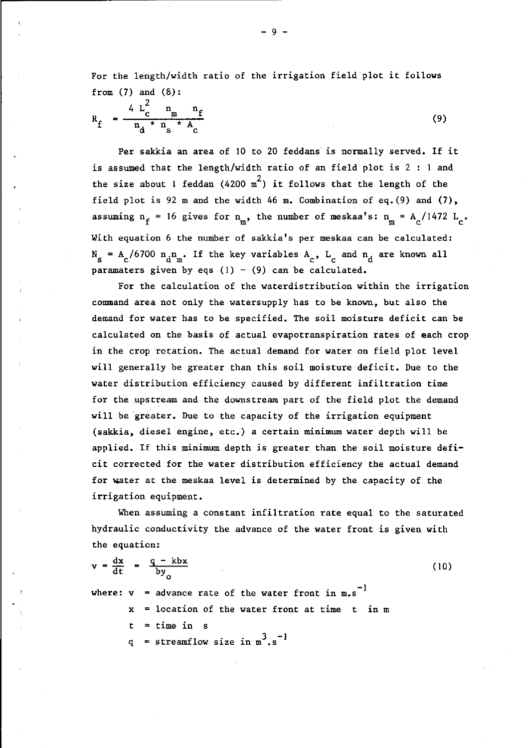For the length/width ratio of the irrigation field plot it follows from  $(7)$  and  $(8)$ :

$$
R_{f} = \frac{4 L_{c}^{2} n_{m} n_{f}}{n_{d} * n_{s} * A_{c}}
$$
 (9)

Per sakkia an area of 10 to 20 feddans is normally served. If it is assumed that the length/width ratio of an field plot is 2 : 1 and the size about 1 feddan (4200  ${\tt m}^2$ ) it follows that th field plot is 92 m and the width 46 m. Combination of eq. (9) and  $(7)$ , assuming  $n_f = 16$  gives for  $n_m$ , the number of meskaa's:  $n_m = A_c / 1472$  L<sub>c</sub>. With equation 6 the number of sakkia's per meskaa can be calculated:  $N_s = A_c / 6700 n_d n_m$ . If the key variables  $A_c$ ,  $L_c$  and paramaters given by eqs  $(1) - (9)$  can be calculated.

For the calculation of the waterdistribution within the irrigation command area not only the watersupply has to be known, but also the demand for water has to be specified. The soil moisture deficit can be calculated on the basis of actual évapotranspiration rates of each crop in the crop rotation. The actual demand for water on field plot level will generally be greater than this soil moisture deficit. Due to the water distribution efficiency caused by different infiltration time for the upstream and the downstream part of the field plot the demand will be greater. Due to the capacity of the irrigation equipment (sakkia, diesel engine, etc.) a certain minimum water depth will be applied. If this minimum depth is greater than the soil moisture deficit corrected for the water distribution efficiency the actual demand for water at the meskaa level is determined by the capacity of the irrigation equipment.

When assuming a constant infiltration rate equal to the saturated hydraulic conductivity the advance of the water front is given with the equation:

$$
v = \frac{dx}{dt} = \frac{q - kbx}{by_0}
$$
 (10)  
where: v = advance rate of the water front in m.s<sup>-1</sup>  
x = location of the water front at time t in m  
t = time in s  
q = streamflow size in m<sup>3</sup>.s<sup>-1</sup>

- 9 -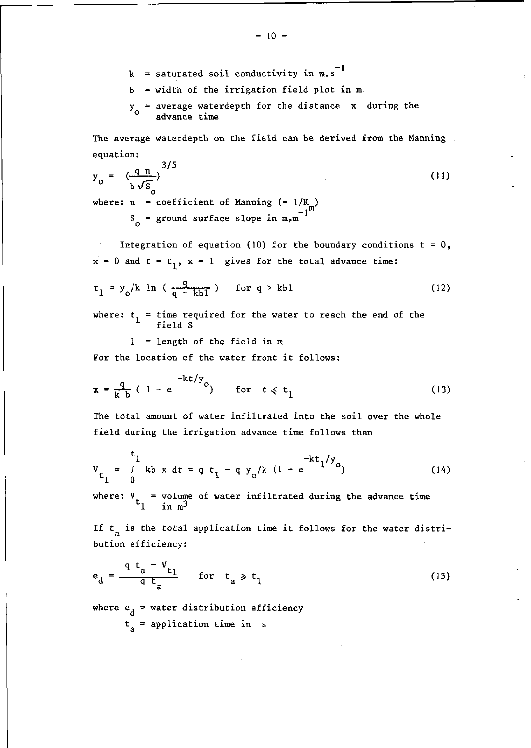- k = saturated soil conductivity in  $m.s$ <sup>-1</sup>
- b = width of the irrigation field plot in m
- $y_0$  = average waterdepth for the distance x during the advance time

The average waterdepth on the field can be derived from the Manning equation:

$$
y_0 = \frac{q \cdot n}{b \sqrt{s_0}}\n\tag{11}
$$
\nwhere: n = coefficient of Manning (= 1/K)

where:  $n = coefficient of Manning$  $S_{\sim}$  = ground surface slope in m<sub>o</sub>m<sup>-1</sup>

Integration of equation (10) for the boundary conditions  $t = 0$ ,  $x = 0$  and  $t = t_1$ ,  $x = 1$  gives for the total advance time:

$$
t_1 = y_0 / k \ln \left( \frac{q}{q - kb1} \right) \quad \text{for } q > kb1
$$
 (12)

where:  $t_1$  = time required for the water to reach field

1 = length of the field in m

For the location of the water front it follows:

$$
x = \frac{q}{k b} (1 - e^{-kt/y}) \quad \text{for} \quad t \leq t_1
$$
 (13)

The total amount of water infiltrated into the soil over the whole field during the irrigation advance time follows than

$$
V_{t_1} = \int_{0}^{t_1} kb \times dt = q t_1 - q y_0 / k (1 - e^{-kt_1/y_0})
$$
 (14)

where:  $V_r$  = volume of water infiltrated during the a  $\mathbf{t}_1$  in  $\mathbf{t}$ 

If  $t_a$  is the total application time it follows for the water distribution efficiency:

$$
e_d = \frac{q t_a - v_{t1}}{q t_a} \quad \text{for} \quad t_a \geq t_1 \tag{15}
$$

where  $e_{d}$  = water distribution efficiency  $t_a$  = application time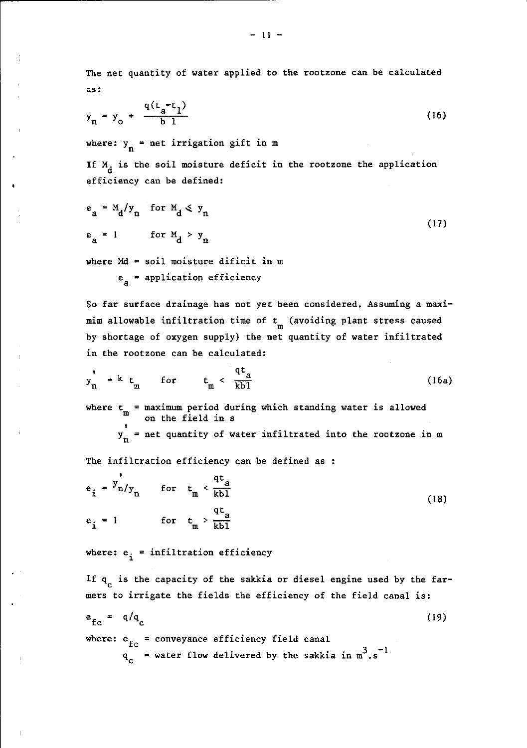The net quantity of water applied to the rootzone can be calculated as:

$$
y_n = y_o + \frac{q(t_a - t_1)}{b_1}
$$
 (16)

where:  $y_n$  = net irrigation gift in m

If  $M_{d}$  is the soil moisture deficit in the rootzone the application efficiency can be defined:

$$
e_a = M_d / y_n \quad \text{for } M_d \leq y_n
$$
  
\n
$$
e_a = 1 \quad \text{for } M_d > y_n
$$
 (17)

where Md = soil moisture dificit in m

 $e_a$  = application efficiency

So far surface drainage has not yet been considered. Assuming a maximim allowable infiltration time of  $t_{\text{m}}$  (avoiding plant stress caused by shortage of oxygen supply) the net quantity of water infiltrated in the rootzone can be calculated:

$$
y_n^* = k t_m \quad \text{for} \quad t_m < \frac{qt_a}{kb1} \tag{16a}
$$

where  $t_m = maximum period$  during which standing water is allowed on the field in s

 $y_n$  = net quantity of water infiltrated into the re

The infiltration efficiency can be defined as :

$$
e_{i} = \frac{y'_{n}}{y_{n}} \quad \text{for} \quad t_{m} < \frac{qt_{a}}{kb_{1}}
$$
\n
$$
e_{i} = 1 \quad \text{for} \quad t_{m} > \frac{qt_{a}}{kb_{1}}
$$
\n
$$
(18)
$$

where:  $e_i$  = infiltration efficiency

If  $q_c$  is the capacity of the sakkia or diesel engine used by the farmers to irrigate the fields the efficiency of the field canal is:

$$
e_{fc} = q/q_c \tag{19}
$$

where:  $e_{fc}$  = conveyance efficiency field canal ivered by the sokkie in  $\pi^3$   $\sigma^$ q = water flow definition by the sake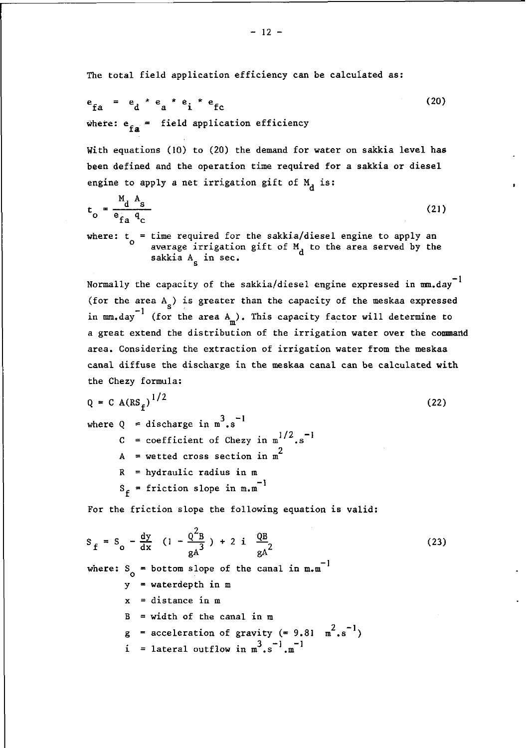The total field application efficiency can be calculated as:

$$
e_{fa} = e_d * e_a * e_i * e_{fc}
$$
\nwhere:  $e_{fa} =$  field application efficiency\n(20)

With equations (10) to (20) the demand for water on sakkia level has been defined and the operation time required for a sakkia or diesel engine to apply a net irrigation gift of M, is:

$$
t_o = \frac{M_d A_s}{e_{fa} q_c}
$$
 (21)

where:  $t_{\alpha}$  = time required for the sakkia/diesel engine to average irrigation gift of  $M_A$  to the area se sakkia A<sub>s</sub> in s

Normally the capacity of the sakkia/diesel engine expressed in mm.day<sup>-1</sup> (for the area  $A_c$ ) is greater than the capacity of the meskaa expressed in  $\texttt{mm-day}^{-1}$  (for the area A\_). This capacity factor will a great extend the distribution of the irrigation water over the command area. Considering the extraction of irrigation water from the meskaa canal diffuse the discharge in the meskaa canal can be calculated with the Chezy formula:

$$
Q = C A (RS_f)^{1/2}
$$
\n(22)  
\nwhere Q = discharge in m<sup>3</sup>, s<sup>-1</sup>  
\nC = coefficient of Chezy in m<sup>1/2</sup>, s<sup>-1</sup>  
\nA = wetted cross section in m<sup>2</sup>  
\nR = hydraulic radius in m  
\nS<sub>f</sub> = friction slope in m.m<sup>-1</sup>  
\nFor the friction slope the following equation is valid:  
\nS<sub>f</sub> = S<sub>o</sub> -  $\frac{dy}{dx}$  (1 -  $\frac{Q^2B}{gA^3}$ ) + 2 i  $\frac{QB}{gA^2}$   
\nwhere: S<sub>o</sub> = bottom slope of the canal in m.m<sup>-1</sup>  
\ny = waterdepth in m  
\nx = distance in m  
\nB = width of the canal in m  
\ng = acceleration of gravity (= 9.81 m<sup>2</sup>, s<sup>-1</sup>)

 $i = 1$  ateral outflow in  $m^3 \cdot s^{-1}$ .

 $-12 -$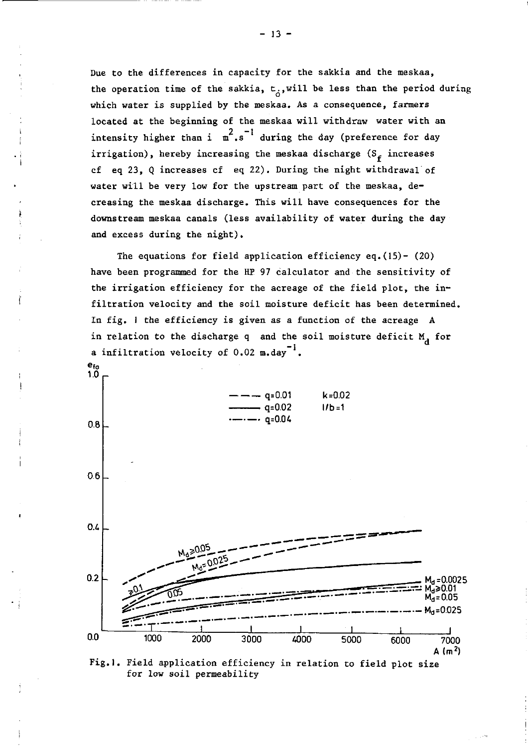Due to the differences in capacity for the sakkia and the meskaa, the operation time of the sakkia,  $t_{\hat{G}}$ , will be less than the period during which water is supplied by the meskaa. As a consequence, farmers located at the beginning of the meskaa will withdraw water with an intensity higher than i  $m^2 \cdot s^{-1}$  during the day (preference for day irrigation), hereby increasing the meskaa discharge (S<sub>f</sub> increases cf eq 23, Q increases cf eq 22). During the night withdrawal of water will be very low for the upstream part of the meskaa, decreasing the meskaa discharge. This will have consequences for the downstream meskaa canals (less availability of water during the day and excess during the night).

The equations for field application efficiency eq.(15)- (20) have been programmed for the HP 97 calculator and the sensitivity of the irrigation efficiency for the acreage of the field plot, the infiltration velocity and the soil moisture deficit has been determined. In fig. 1 the efficiency is given as a function of the acreage A in relation to the discharge q and the soil moisture deficit  $M_A$  for relation to the discharge q and the<br>infiltration velocity of 0.02 m.day<sup>-1</sup>



Fig.1. Field application efficiency in relation to field plot size for low soil permeability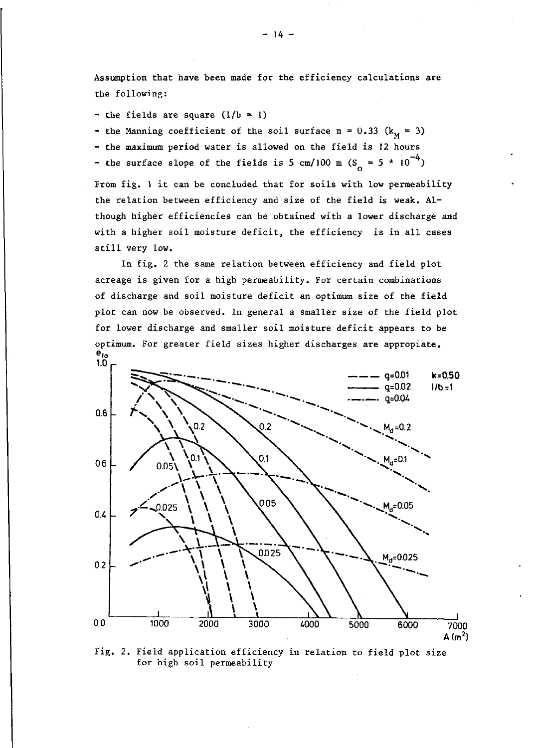Assumption that have been made for the efficiency calculations are the following:

- the fields are square  $(1/b = 1)$
- the Manning coefficient of the soil surface  $n = 0.33$  (k<sub>M</sub> = 3)
- the maximum period water is allowed on the field is 12 hours
- -4 - the surface slope of the fields is 5 cm/l00

From fig. 1 it can be concluded that for soils with low permeability the relation between efficiency and size of the field is weak. Although higher efficiencies can be obtained with a lower discharge and with a higher soil moisture deficit, the efficiency is in all cases still very low.

In fig. 2 the same relation between efficiency and field plot acreage is given for a high permeability. For certain combinations of discharge and soil moisture deficit an optimum size of the field plot can now be observed. In general a smaller size of the field plot for lower discharge and smaller soil moisture deficit appears to be optimum. For greater field sizes higher discharges are appropiate.<br> $e_{i0}$ <br>1.0  $\vdash$ 



Fig. 2. Field application efficiency in relation to field plot size for high soil permeability

 $-14 -$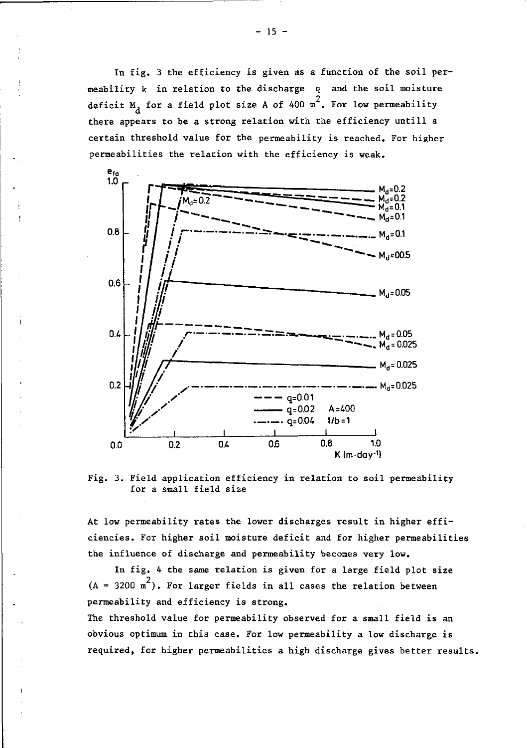In fig. 3 the efficiency is given as a function of the soil permeability k in relation to the discharge q and the soil moisture deficit  $M_d$  for a field plot size A of 400 m<sup>2</sup>. For low permeability there appears to be a strong relation with the efficiency untill a certain threshold value for the permeability is reached. For higher permeabilities the relation with the efficiency is weak.



Fig. 3. Field application efficiency in relation to soil permeability for a small field size

At low permeability rates the lower discharges result in higher efficiencies. For higher soil moisture deficit and for higher permeabilities the influence of discharge and permeability becomes very low.

In fig. 4 the same relation is given for a large field plot size  $(A = 3200 \text{ m}^2)$ . For larger fields in all cases the re permeability and efficiency is strong.

The threshold value for permeability observed for a small field is an obvious optimum in this case. For low permeability a low discharge is required, for higher permeabilities a high discharge gives better results,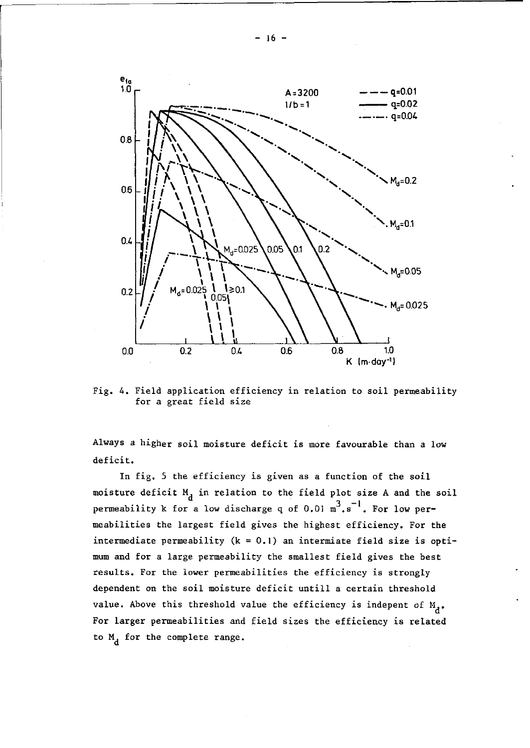

Fig. 4. Field application efficiency in relation to soil permeability for a great field size

Always a higher soil moisture deficit is more favourable than a low deficit.

In fig. 5 the efficiency is given as a function of the soil moisture deficit  $M_d$  in relation to the field plot size A and the soil permeability k for a low discharge q of 0.01  $m^3$ . s<sup>-1</sup>. For low permeabilities the largest field gives the highest efficiency. For the intermediate permeability  $(k = 0.1)$  an intermiate field size is optimum and for a large permeability the smallest field gives the best results. For the lower permeabilities the efficiency is strongly dependent on the soil moisture deficit untill a certain threshold value. Above this threshold value the efficiency is indepent of  $M_{d}$ . van langen pangeshilitise that field since the efficiency d to  $M_d$  for the complete range.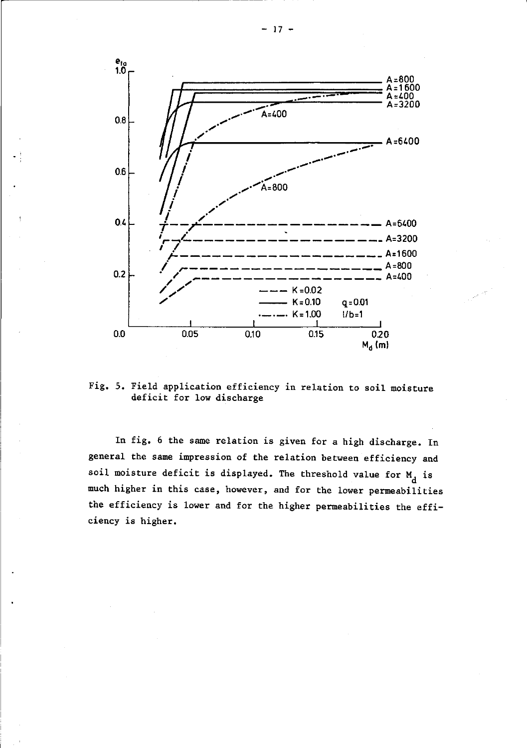

Fig. 5. Field application efficiency in relation to soil moisture deficit for low discharge

In fig. 6 the same relation is given for a high discharge. In general the same impression of the relation between efficiency and soil moisture deficit is displayed. The threshold value for  $M_d$  is u<br>1 moon higher in this case, however, and for the lower per the efficiency is lower and for the higher permeabilities the efficiency is higher.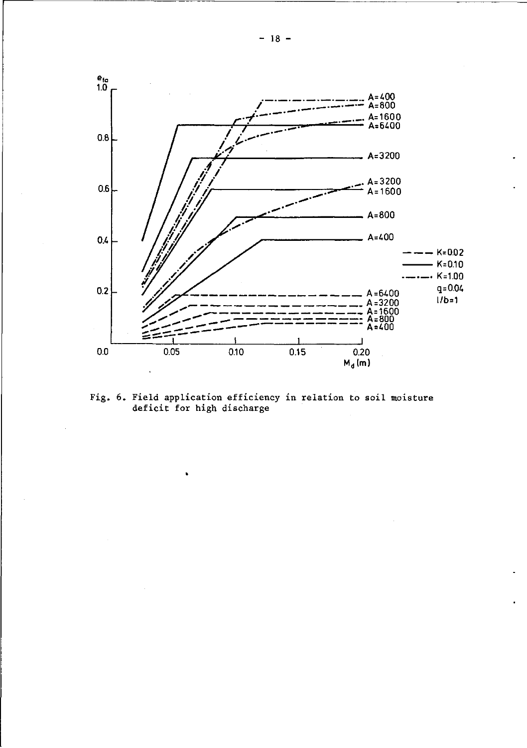

Fig. 6. Field application efficiency in relation to soil moisture deficit for high discharge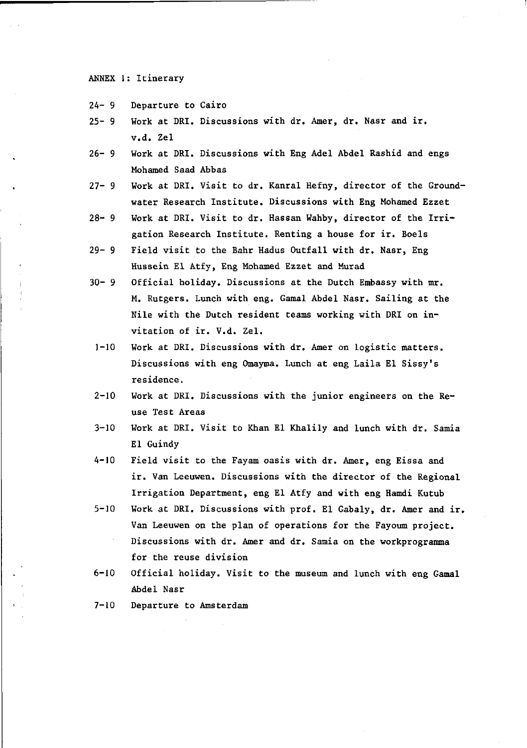#### ANNEX 1: Itinerary

- 24- 9 Departure to Cairo
- 25- 9 Work at DRI. Discussions with dr. Amer, dr. Nasr and ir. v.d. Zel
- 26- 9 Work at DRI. Discussions with Eng Adel Abdel Rashid and engs Mohamed Saad Abbas
- 27- 9 Work at DRI. Visit to dr. Kanral Hefny, director of the Groundwater Research Institute. Discussions with Eng Mohamed Ezzet
- 28- 9 Work at DRI. Visit to dr. Hassan Wahby, director of the Irrigation Research Institute. Renting a house for ir. Boels
- 29- 9 Field visit to the Bahr Hadus Outfall with dr. Nasr, Eng Hussein El Atfy, Eng Mohamed Ezzet and Murad
- 30- 9 Official holiday. Discussions at the Dutch Embassy with mr. M. Rutgers. Lunch with eng. Gamal Abdel Nasr. Sailing at the Nile with the Dutch resident teams working with DRI on invitation of ir. V.d. Zel.
- 1-10 Work at DRI. Discussions with dr. Amer on logistic matters. Discussions with eng Omayma. Lunch at eng Laila El Sissy's residence,
- 2-10 Work at DRI. Discussions with the junior engineers on the Reuse Test Areas
- 3-10 Work at DRI. Visit to Khan El Khalily and lunch with dr. Samia El Guindy
- 4-10 Field visit to the Fayam oasis with dr. Amer, eng Eissa and ir. Van Leeuwen. Discussions with the director of the Regional Irrigation Department, eng El Atfy and with eng Hamdi Kutub
- 5-10 Work at DRI. Discussions with prof. El Gabaly, dr. Amer and ir. Van Leeuwen on the plan of operations for the Fayoum project. Discussions with dr. Amer and dr. Samia on the workprogramma for the reuse division
- 6-10 Official holiday. Visit to the museum and lunch with eng Gamal Abdel Nasr
- 7-10 Departure to Amsterdam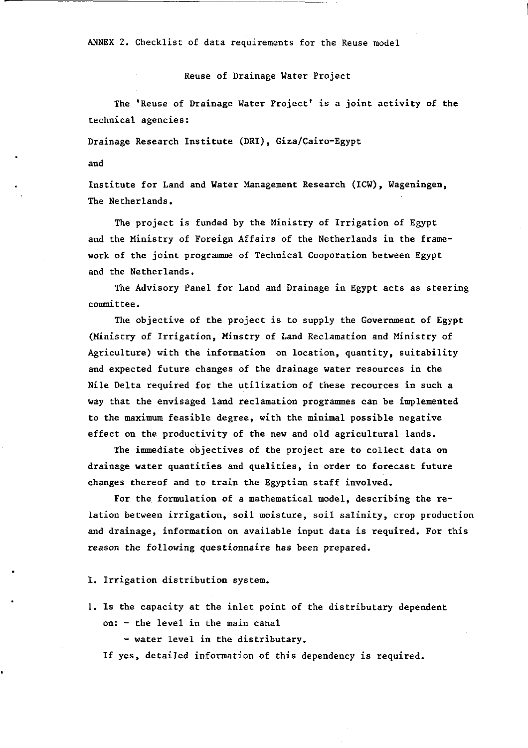ANNEX 2. Checklist of data requirements for the Reuse model

Reuse of Drainage Water Project

The 'Reuse of Drainage Water Project' is a joint activity of the technical agencies:

Drainage Research Institute (DRI), Giza/Cairo-Egypt

and

Institute for Land and Water Management Research (ICW), Wageningen, The Netherlands.

The project is funded by the Ministry of Irrigation of Egypt and the Ministry of Foreign Affairs of the Netherlands in the framework of the joint programme of Technical Cooporation between Egypt and the Netherlands.

The Advisory Panel for Land and Drainage in Egypt acts as steering committee.

The objective of the project is to supply the Government of Egypt (Ministry of Irrigation, Minstry of Land Reclamation and Ministry of Agriculture) with the information on location, quantity, suitability and expected future changes of the drainage water resources in the Nile Delta required for the utilization of these recources in such a way that the envisaged land reclamation programmes can be implemented to the maximum feasible degree, with the minimal possible negative effect on the productivity of the new and old agricultural lands.

The immediate objectives of the project are to collect data on drainage water quantities and qualities, in order to forecast future changes thereof and to train the Egyptian staff involved.

For the formulation of a mathematical model, describing the relation between irrigation, soil moisture, soil salinity, crop production and drainage, information on available input data is required. For this reason the following questionnaire has been prepared.

I. Irrigation distribution system.

1. Is the capacity at the inlet point of the distributary dependent on: - the level in the main canal

- water level in the distributary.

If yes, detailed information of this dependency is required.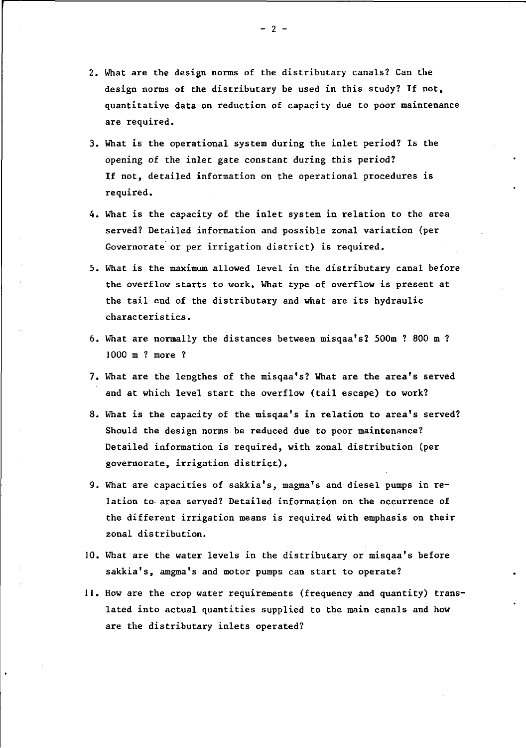- 2. What are the design norms of the distributary canals? Can the design norms of the distributary be used in this study? If not, quantitative data on reduction of capacity due to poor maintenance are required.
- 3. What is the operational system during the inlet period? Is the opening of the inlet gate constant during this period? If not, detailed information on the operational procedures is required.
- 4. What is the capacity of the inlet system in relation to the area served? Detailed information and possible zonal variation (per Governorate or per irrigation district) is required.
- 5. What is the maximum allowed level in the distributary canal before the overflow starts to work. What type of overflow is present at the tail end of the distributary and what are its hydraulic characteristics.
- 6. What are normally the distances between misqaa's? 500m ? 800 m ? 1000 m ? more ?
- 7. What are the lengthes of the misqaa's? What are the area's served and at which level start the overflow (tail escape) to work?
- 8. What is the capacity of the misqaa's in relation to area's served? Should the design norms be reduced due to poor maintenance? Detailed information is required, with zonal distribution (per governorate, irrigation district).
- 9. What are capacities of sakkia's, magma's and diesel pumps in relation to area served? Detailed information on the occurrence of the different irrigation means is required with emphasis on their zonal distribution.
- 10. What are the water levels in the distributary or misqaa's before sakkia's, amgma's and motor pumps can start to operate?
- 11. How are the crop water requirements (frequency and quantity) translated into actual quantities supplied to the main canals and how are the distributary inlets operated?

 $-2 -$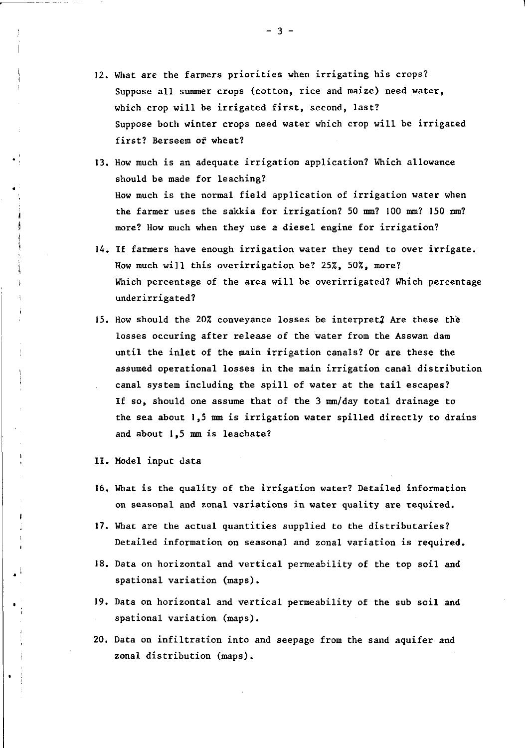- 12. What are the farmers priorities when irrigating his crops? Suppose all summer crops (cotton, rice and maize) need water, which crop will be irrigated first, second, last? Suppose both winter crops need water which crop will be irrigated first? Berseem or wheat?
- 13. How much is an adequate irrigation application? Which allowance should be made for leaching? How much is the normal field application of irrigation water when the farmer uses the sakkia for irrigation? 50 mm? 100 mm? 150 mm? more? How much when they use a diesel engine for irrigation?
- 14. If farmers have enough irrigation water they tend to over irrigate. How much will this overirrigation be? 25%, 50%, more? Which percentage of the area will be overirrigated? Which percentage underirrigated?
- 15. How should the  $20\%$  conveyance losses be interpret $2$  Are these the losses occuring after release of the water from the Asswan dam until the inlet of the main irrigation canals? Or are these the assumed operational losses in the main irrigation canal distribution canal system including the spill of water at the tail escapes? If so, should one assume that of the 3 mm/day total drainage to the sea about 1,5 mm is irrigation water spilled directly to drains and about 1,5 mm is leachate?
- II. Model input data
- 16. What is the quality of the irrigation water? Detailed information on seasonal and zonal variations in water quality are required.
- 17. What are the actual quantities supplied to the distributaries? Detailed information on seasonal and zonal variation is required.
- 18. Data on horizontal and vertical permeability of the top soil and spational variation (maps).
- 19. Data on horizontal and vertical permeability of the sub soil and spational variation (maps).
- 20. Data on infiltration into and seepage from the sand aquifer and zonal distribution (maps).

 $- 3 -$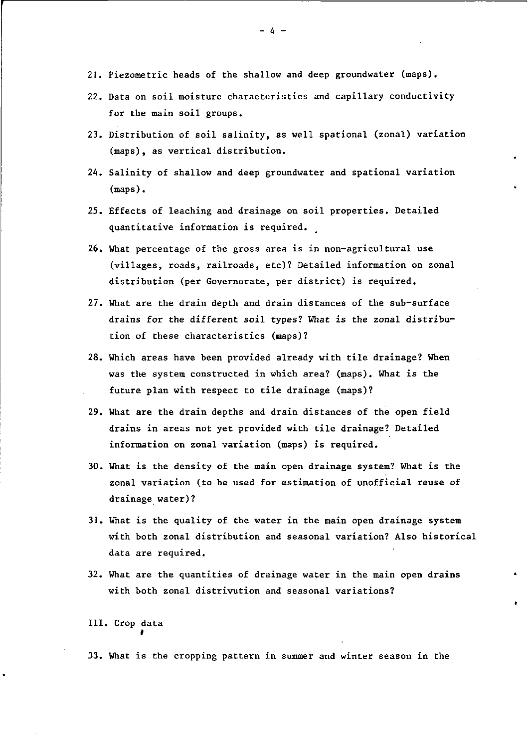- 21. Piezometric heads of the shallow and deep groundwater (maps).
- 22. Data on soil moisture characteristics and capillary conductivity for the main soil groups.
- 23. Distribution of soil salinity, as well spational (zonal) variation (maps), as vertical distribution.
- 24. Salinity of shallow and deep groundwater and spational variation (maps).
- 25. Effects of leaching and drainage on soil properties. Detailed quantitative information is required.
- 26. What percentage of the gross area is in non-agricultural use (villages, roads, railroads, etc)? Detailed information on zonal distribution (per Governorate, per district) is required.
- 27. What are the drain depth and drain distances of the sub-surface drains for the different soil types? What is the zonal distribution of these characteristics (maps)?
- 28. Which areas have been provided already with tile drainage? When was the system constructed in which area? (maps). What is the future plan with respect to tile drainage (maps)?
- 29. What are the drain depths and drain distances of the open field drains in areas not yet provided with tile drainage? Detailed information on zonal variation (maps) is required.
- 30. What is the density of the main open drainage system? What is the zonal variation (to be used for estimation of unofficial reuse of drainage water)?
- 31. What is the quality of the water in the main open drainage system with both zonal distribution and seasonal variation? Also historical data are required.
- 32. What are the quantities of drainage water in the main open drains with both zonal distrivution and seasonal variations?

#### III. Crop data **i**

33. What is the cropping pattern in summer and winter season in the

- 4 -